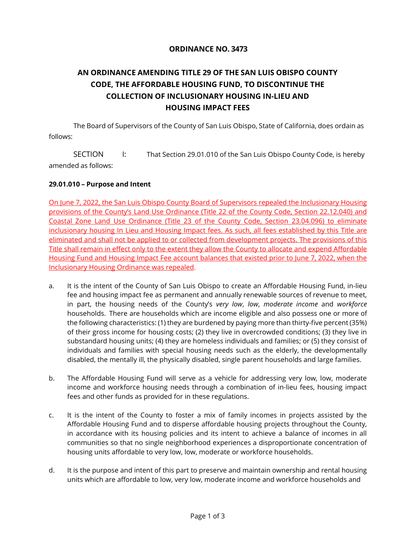## **ORDINANCE NO. 3473**

# **AN ORDINANCE AMENDING TITLE 29 OF THE SAN LUIS OBISPO COUNTY CODE, THE AFFORDABLE HOUSING FUND, TO DISCONTINUE THE COLLECTION OF INCLUSIONARY HOUSING IN-LIEU AND HOUSING IMPACT FEES**

The Board of Supervisors of the County of San Luis Obispo, State of California, does ordain as follows:

SECTION I: That Section 29.01.010 of the San Luis Obispo County Code, is hereby amended as follows:

### **29.01.010 – Purpose and Intent**

On June 7, 2022, the San Luis Obispo County Board of Supervisors repealed the Inclusionary Housing provisions of the County's Land Use Ordinance (Title 22 of the County Code, Section 22.12.040) and Coastal Zone Land Use Ordinance (Title 23 of the County Code, Section 23.04.096) to eliminate inclusionary housing In Lieu and Housing Impact fees. As such, all fees established by this Title are eliminated and shall not be applied to or collected from development projects. The provisions of this Title shall remain in effect only to the extent they allow the County to allocate and expend Affordable Housing Fund and Housing Impact Fee account balances that existed prior to June 7, 2022, when the Inclusionary Housing Ordinance was repealed.

- a. It is the intent of the County of San Luis Obispo to create an Affordable Housing Fund, in-lieu fee and housing impact fee as permanent and annually renewable sources of revenue to meet, in part, the housing needs of the County's *very low*, *low*, *moderate income* and *workforce*  households. There are households which are income eligible and also possess one or more of the following characteristics: (1) they are burdened by paying more than thirty-five percent (35%) of their gross income for housing costs; (2) they live in overcrowded conditions; (3) they live in substandard housing units; (4) they are homeless individuals and families; or (5) they consist of individuals and families with special housing needs such as the elderly, the developmentally disabled, the mentally ill, the physically disabled, single parent households and large families.
- b. The Affordable Housing Fund will serve as a vehicle for addressing very low, low, moderate income and workforce housing needs through a combination of in-lieu fees, housing impact fees and other funds as provided for in these regulations.
- c. It is the intent of the County to foster a mix of family incomes in projects assisted by the Affordable Housing Fund and to disperse affordable housing projects throughout the County, in accordance with its housing policies and its intent to achieve a balance of incomes in all communities so that no single neighborhood experiences a disproportionate concentration of housing units affordable to very low, low, moderate or workforce households.
- d. It is the purpose and intent of this part to preserve and maintain ownership and rental housing units which are affordable to low, very low, moderate income and workforce households and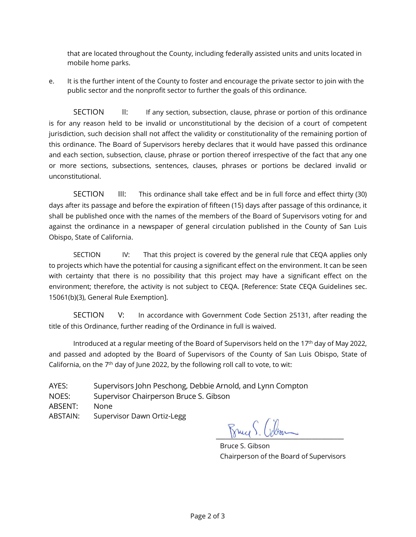that are located throughout the County, including federally assisted units and units located in mobile home parks.

e. It is the further intent of the County to foster and encourage the private sector to join with the public sector and the nonprofit sector to further the goals of this ordinance.

SECTION II: If any section, subsection, clause, phrase or portion of this ordinance is for any reason held to be invalid or unconstitutional by the decision of a court of competent jurisdiction, such decision shall not affect the validity or constitutionality of the remaining portion of this ordinance. The Board of Supervisors hereby declares that it would have passed this ordinance and each section, subsection, clause, phrase or portion thereof irrespective of the fact that any one or more sections, subsections, sentences, clauses, phrases or portions be declared invalid or unconstitutional.

SECTION III: This ordinance shall take effect and be in full force and effect thirty (30) days after its passage and before the expiration of fifteen (15) days after passage of this ordinance, it shall be published once with the names of the members of the Board of Supervisors voting for and against the ordinance in a newspaper of general circulation published in the County of San Luis Obispo, State of California.

SECTION IV: That this project is covered by the general rule that CEQA applies only to projects which have the potential for causing a significant effect on the environment. It can be seen with certainty that there is no possibility that this project may have a significant effect on the environment; therefore, the activity is not subject to CEQA. [Reference: State CEQA Guidelines sec. 15061(b)(3), General Rule Exemption].

SECTION V: In accordance with Government Code Section 25131, after reading the title of this Ordinance, further reading of the Ordinance in full is waived.

Introduced at a regular meeting of the Board of Supervisors held on the 17<sup>th</sup> day of May 2022, and passed and adopted by the Board of Supervisors of the County of San Luis Obispo, State of California, on the  $7<sup>th</sup>$  day of June 2022, by the following roll call to vote, to wit:

AYES: Supervisors John Peschong, Debbie Arnold, and Lynn Compton NOES: Supervisor Chairperson Bruce S. Gibson ABSENT: None ABSTAIN: Supervisor Dawn Ortiz-Legg

 $\frac{10}{2}$  and  $\frac{1}{2}$ 

Bruce S. Gibson Chairperson of the Board of Supervisors